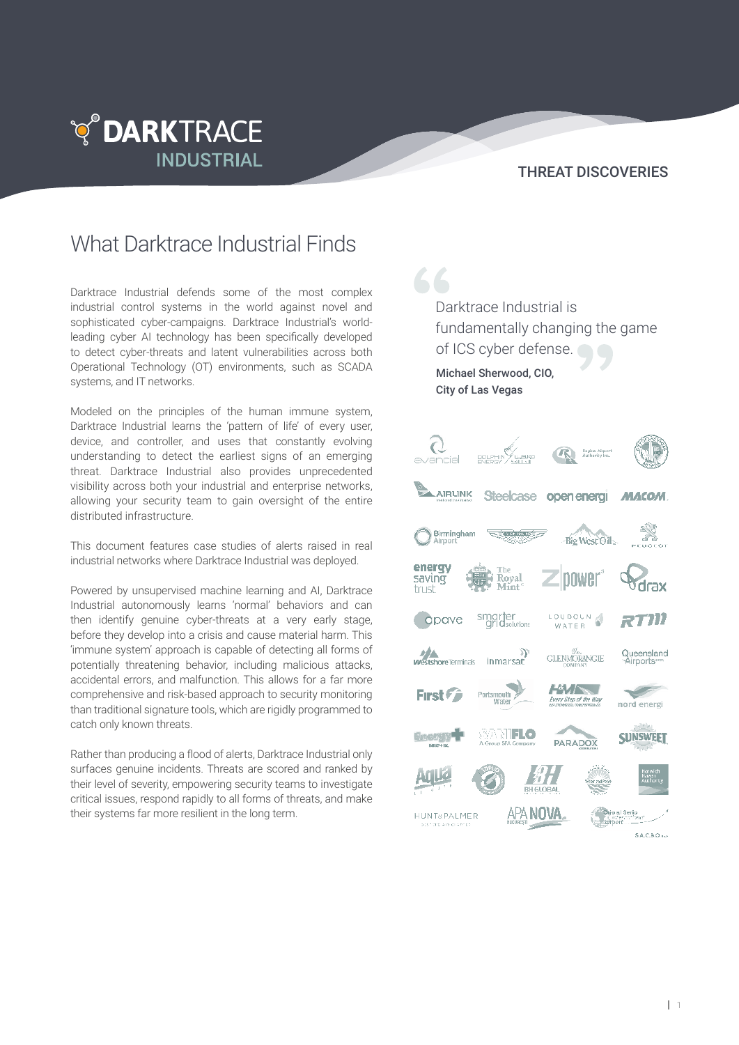

### THREAT DISCOVERIES

# What Darktrace Industrial Finds

Darktrace Industrial defends some of the most complex industrial control systems in the world against novel and sophisticated cyber-campaigns. Darktrace Industrial's worldleading cyber AI technology has been specifically developed to detect cyber-threats and latent vulnerabilities across both Operational Technology (OT) environments, such as SCADA systems, and IT networks.

Modeled on the principles of the human immune system, Darktrace Industrial learns the 'pattern of life' of every user, device, and controller, and uses that constantly evolving understanding to detect the earliest signs of an emerging threat. Darktrace Industrial also provides unprecedented visibility across both your industrial and enterprise networks, allowing your security team to gain oversight of the entire distributed infrastructure.

This document features case studies of alerts raised in real industrial networks where Darktrace Industrial was deployed.

Powered by unsupervised machine learning and AI, Darktrace Industrial autonomously learns 'normal' behaviors and can then identify genuine cyber-threats at a very early stage, before they develop into a crisis and cause material harm. This 'immune system' approach is capable of detecting all forms of potentially threatening behavior, including malicious attacks, accidental errors, and malfunction. This allows for a far more comprehensive and risk-based approach to security monitoring than traditional signature tools, which are rigidly programmed to catch only known threats.

Rather than producing a flood of alerts, Darktrace Industrial only surfaces genuine incidents. Threats are scored and ranked by their level of severity, empowering security teams to investigate critical issues, respond rapidly to all forms of threats, and make their systems far more resilient in the long term.

66 Darktrace Industrial is fundamentally changing the game of ICS cyber defense. Michael Sherwood, CIO, City of Las Vegas  $\epsilon$ **Regina Airport** AIRLINK **Steelcase** open energi **MACOM MARK** Birmingham **Big West Oil** energy oower saving Royal trust LOUDOUN smarter<br>aridsolutions cipave RT III WATER **Westshore Terminals** ((<br>inmarsat Queensland<br>Airports **GLENMORANGIE**  $H$ First First Portsmouth<br>Water **Every Step of the Way** nord energi SARIFLO **SUNSWEET** PARADOX APA NOV**A**. **HUNT&PALMER**  $S.A.C.B.O.1$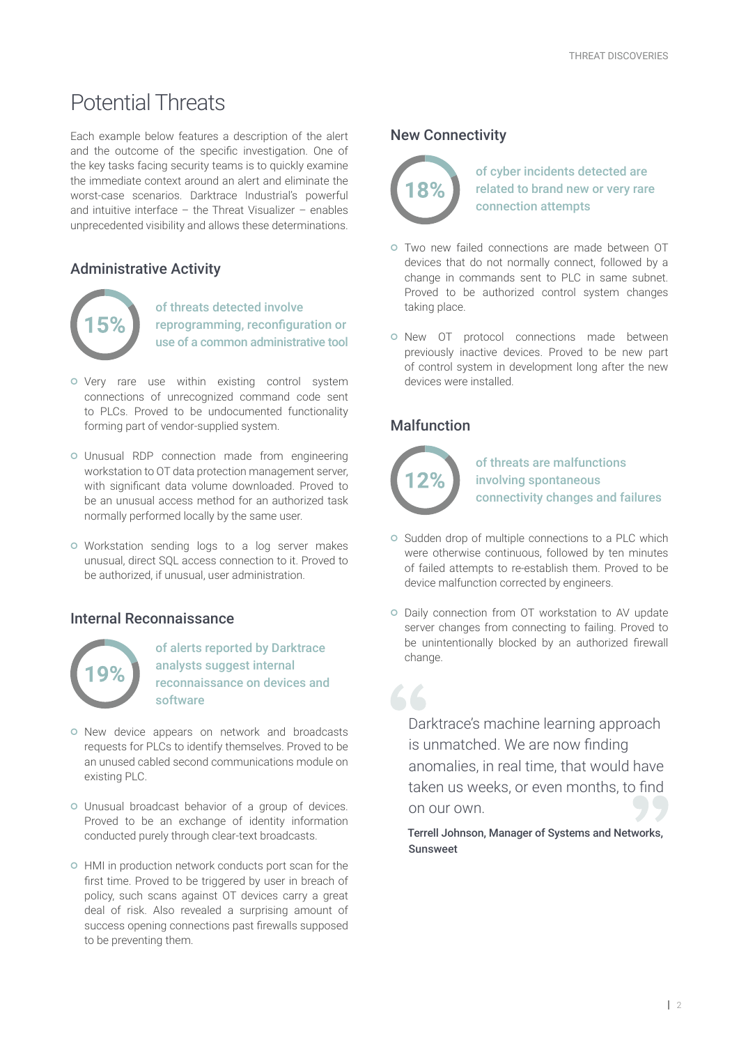# Potential Threats

Each example below features a description of the alert and the outcome of the specific investigation. One of the key tasks facing security teams is to quickly examine the immediate context around an alert and eliminate the worst-case scenarios. Darktrace Industrial's powerful and intuitive interface – the Threat Visualizer – enables unprecedented visibility and allows these determinations.

# Administrative Activity



of threats detected involve reprogramming, reconfiguration or use of a common administrative tool

- o Very rare use within existing control system connections of unrecognized command code sent to PLCs. Proved to be undocumented functionality forming part of vendor-supplied system.
- Unusual RDP connection made from engineering workstation to OT data protection management server, with significant data volume downloaded. Proved to be an unusual access method for an authorized task normally performed locally by the same user.
- Workstation sending logs to a log server makes unusual, direct SQL access connection to it. Proved to be authorized, if unusual, user administration.

## Internal Reconnaissance



of alerts reported by Darktrace analysts suggest internal reconnaissance on devices and software

- o New device appears on network and broadcasts requests for PLCs to identify themselves. Proved to be an unused cabled second communications module on existing PLC.
- Unusual broadcast behavior of a group of devices. Proved to be an exchange of identity information conducted purely through clear-text broadcasts.
- HMI in production network conducts port scan for the first time. Proved to be triggered by user in breach of policy, such scans against OT devices carry a great deal of risk. Also revealed a surprising amount of success opening connections past firewalls supposed to be preventing them.

#### New Connectivity



of cyber incidents detected are related to brand new or very rare connection attempts

- Two new failed connections are made between OT devices that do not normally connect, followed by a change in commands sent to PLC in same subnet. Proved to be authorized control system changes taking place.
- o New OT protocol connections made between previously inactive devices. Proved to be new part of control system in development long after the new devices were installed.

# **Malfunction**



66

of threats are malfunctions involving spontaneous connectivity changes and failures

- o Sudden drop of multiple connections to a PLC which were otherwise continuous, followed by ten minutes of failed attempts to re-establish them. Proved to be device malfunction corrected by engineers.
- o Daily connection from OT workstation to AV update server changes from connecting to failing. Proved to be unintentionally blocked by an authorized firewall change.

Darktrace's machine learning approach is unmatched. We are now finding anomalies, in real time, that would have taken us weeks, or even months, to find on our own.

Terrell Johnson, Manager of Systems and Networks, Sunsweet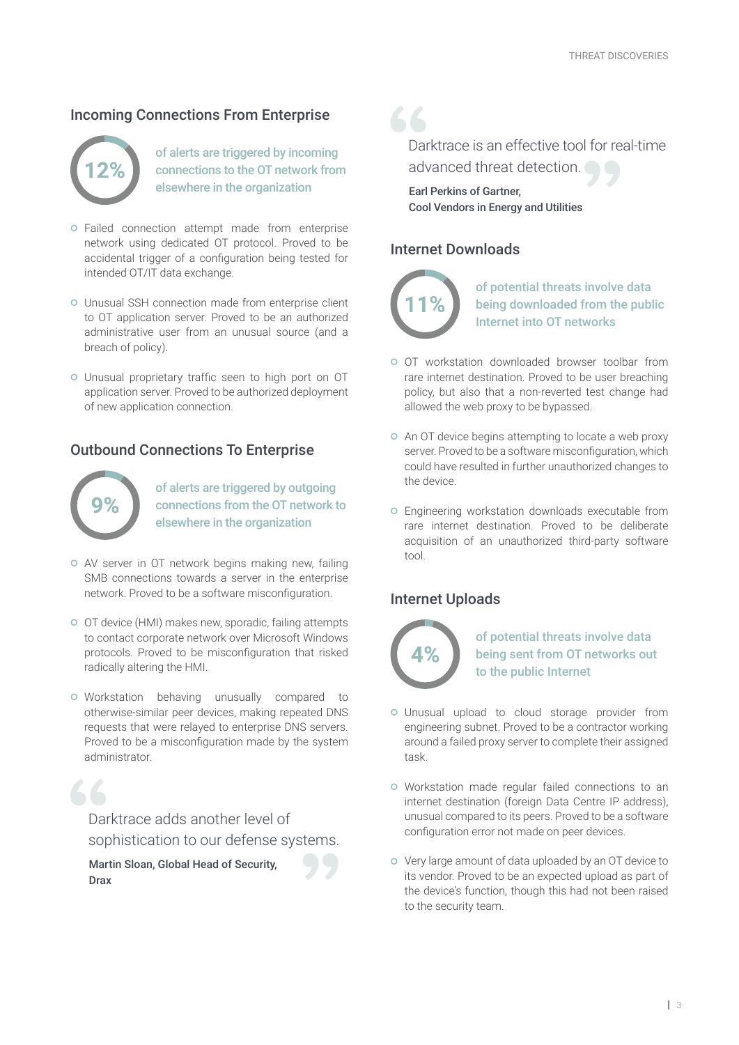### Incoming Connections From Enterprise



of alerts are triggered by incoming connections to the OT network from elsewhere in the organization

- Failed connection attempt made from enterprise network using dedicated OT protocol. Proved to be accidental trigger of a configuration being tested for intended OT/IT data exchange.
- Unusual SSH connection made from enterprise client to OT application server. Proved to be an authorized administrative user from an unusual source (and a breach of policy).
- Unusual proprietary traffic seen to high port on OT application server. Proved to be authorized deployment of new application connection.

### Outbound Connections To Enterprise



of alerts are triggered by outgoing connections from the OT network to elsewhere in the organization

- AV server in OT network begins making new, failing SMB connections towards a server in the enterprise network. Proved to be a software misconfiguration.
- OT device (HMI) makes new, sporadic, failing attempts to contact corporate network over Microsoft Windows protocols. Proved to be misconfiguration that risked radically altering the HMI.
- o Workstation behaving unusually compared to otherwise-similar peer devices, making repeated DNS requests that were relayed to enterprise DNS servers. Proved to be a misconfiguration made by the system administrator.



Darktrace adds another level of sophistication to our defense systems.

Martin Sloan, Global Head of Security, Drax

66 Darktrace is an effective tool for real-time advanced threat detection.

Earl Perkins of Gartner, Cool Vendors in Energy and Utilities

#### Internet Downloads



of potential threats involve data being downloaded from the public Internet into OT networks

- OT workstation downloaded browser toolbar from rare internet destination. Proved to be user breaching policy, but also that a non-reverted test change had allowed the web proxy to be bypassed.
- An OT device begins attempting to locate a web proxy server. Proved to be a software misconfiguration, which could have resulted in further unauthorized changes to the device.
- Engineering workstation downloads executable from rare internet destination. Proved to be deliberate acquisition of an unauthorized third-party software tool.

## Internet Uploads



of potential threats involve data being sent from OT networks out to the public Internet

- Unusual upload to cloud storage provider from engineering subnet. Proved to be a contractor working around a failed proxy server to complete their assigned task.
- Workstation made regular failed connections to an internet destination (foreign Data Centre IP address), unusual compared to its peers. Proved to be a software configuration error not made on peer devices.
- Very large amount of data uploaded by an OT device to its vendor. Proved to be an expected upload as part of the device's function, though this had not been raised to the security team.